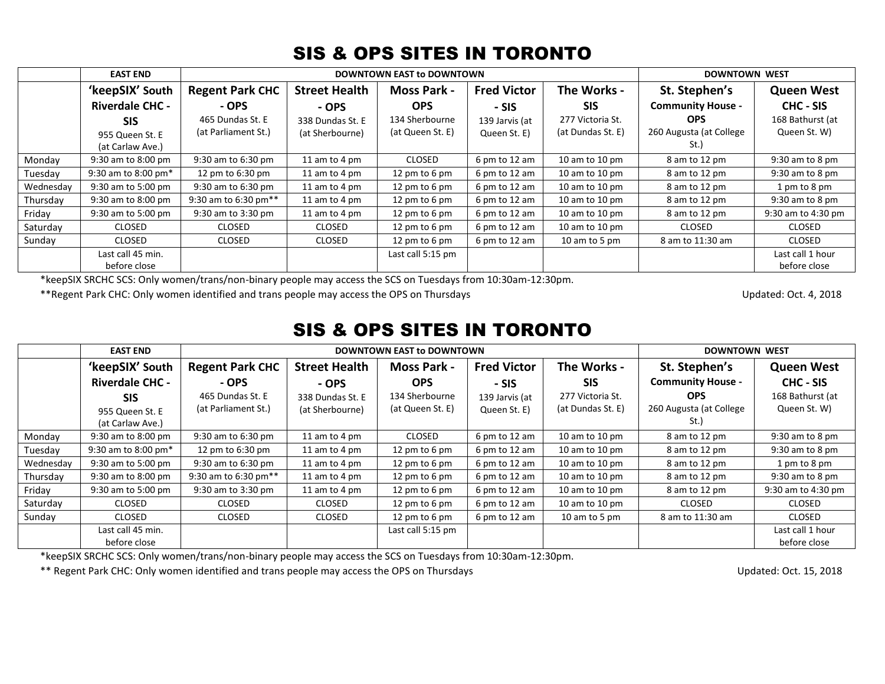|           | <b>EAST END</b>                   |                        | <b>DOWNTOWN EAST to DOWNTOWN</b> | <b>DOWNTOWN WEST</b> |                    |                         |                          |                                  |
|-----------|-----------------------------------|------------------------|----------------------------------|----------------------|--------------------|-------------------------|--------------------------|----------------------------------|
|           | 'keepSIX' South                   | <b>Regent Park CHC</b> | <b>Street Health</b>             | <b>Moss Park -</b>   | <b>Fred Victor</b> | The Works -             | St. Stephen's            | <b>Queen West</b>                |
|           | <b>Riverdale CHC -</b>            | - OPS                  | - OPS                            | <b>OPS</b>           | - SIS              | <b>SIS</b>              | <b>Community House -</b> | CHC - SIS                        |
|           | <b>SIS</b>                        | 465 Dundas St. E       | 338 Dundas St. E                 | 134 Sherbourne       | 139 Jarvis (at     | 277 Victoria St.        | <b>OPS</b>               | 168 Bathurst (at                 |
|           | 955 Queen St. E                   | (at Parliament St.)    | (at Sherbourne)                  | (at Queen St. E)     | Queen St. E)       | (at Dundas St. E)       | 260 Augusta (at College  | Queen St. W)                     |
|           | (at Carlaw Ave.)                  |                        |                                  |                      |                    |                         | St.)                     |                                  |
| Monday    | 9:30 am to 8:00 pm                | 9:30 am to 6:30 pm     | 11 am to 4 pm                    | <b>CLOSED</b>        | 6 pm to 12 am      | 10 am to 10 pm          | 8 am to 12 pm            | 9:30 am to 8 pm                  |
| Tuesdav   | 9:30 am to 8:00 pm $*$            | 12 pm to 6:30 pm       | 11 am to 4 pm                    | 12 pm to 6 pm        | 6 pm to 12 am      | 10 am to 10 $\text{pm}$ | 8 am to 12 pm            | 9:30 am to 8 pm                  |
| Wednesday | 9:30 am to 5:00 pm                | 9:30 am to 6:30 pm     | 11 am to 4 pm                    | 12 pm to 6 pm        | 6 pm to 12 am      | 10 am to 10 pm          | 8 am to 12 pm            | 1 pm to 8 pm                     |
| Thursday  | 9:30 am to 8:00 pm                | 9:30 am to 6:30 pm**   | 11 am to 4 pm                    | 12 pm to 6 pm        | 6 pm to 12 am      | 10 am to 10 pm          | 8 am to 12 pm            | $9:30$ am to 8 pm                |
| Friday    | 9:30 am to 5:00 pm                | 9:30 am to 3:30 pm     | 11 am to 4 pm                    | 12 pm to 6 pm        | 6 pm to 12 am      | 10 am to 10 pm          | 8 am to 12 pm            | 9:30 am to 4:30 pm               |
| Saturday  | <b>CLOSED</b>                     | <b>CLOSED</b>          | <b>CLOSED</b>                    | 12 pm to 6 pm        | 6 pm to 12 am      | 10 am to 10 $\text{pm}$ | <b>CLOSED</b>            | CLOSED                           |
| Sunday    | <b>CLOSED</b>                     | CLOSED                 | CLOSED                           | 12 pm to 6 pm        | 6 pm to 12 am      | 10 am to 5 pm           | 8 am to 11:30 am         | CLOSED                           |
|           | Last call 45 min.<br>before close |                        |                                  | Last call 5:15 pm    |                    |                         |                          | Last call 1 hour<br>before close |

SIS & OPS SITES IN TORONTO

\*keepSIX SRCHC SCS: Only women/trans/non-binary people may access the SCS on Tuesdays from 10:30am-12:30pm.

\*\*Regent Park CHC: Only women identified and trans people may access the OPS on Thursdays Updated: Oct. 4, 2018

## SIS & OPS SITES IN TORONTO

|           | <b>EAST END</b>        | <b>DOWNTOWN EAST to DOWNTOWN</b> |                      |                    |                    |                    | <b>DOWNTOWN WEST</b>     |                    |
|-----------|------------------------|----------------------------------|----------------------|--------------------|--------------------|--------------------|--------------------------|--------------------|
|           | 'keepSIX' South        | <b>Regent Park CHC</b>           | <b>Street Health</b> | <b>Moss Park -</b> | <b>Fred Victor</b> | The Works -        | St. Stephen's            | <b>Queen West</b>  |
|           | <b>Riverdale CHC -</b> | - OPS                            | - OPS                | <b>OPS</b>         | - SIS              | <b>SIS</b>         | <b>Community House -</b> | CHC - SIS          |
|           | <b>SIS</b>             | 465 Dundas St. E                 | 338 Dundas St. E     | 134 Sherbourne     | 139 Jarvis (at     | 277 Victoria St.   | <b>OPS</b>               | 168 Bathurst (at   |
|           | 955 Queen St. E        | (at Parliament St.)              | (at Sherbourne)      | (at Queen St. E)   | Queen St. E)       | (at Dundas St. E)  | 260 Augusta (at College  | Queen St. W)       |
|           | (at Carlaw Ave.)       |                                  |                      |                    |                    |                    | St.)                     |                    |
| Monday    | 9:30 am to 8:00 pm     | 9:30 am to 6:30 pm               | 11 am to 4 pm        | <b>CLOSED</b>      | 6 pm to 12 am      | $10$ am to $10$ pm | 8 am to 12 pm            | $9:30$ am to 8 pm  |
| Tuesday   | 9:30 am to 8:00 pm $*$ | 12 pm to 6:30 pm                 | 11 am to 4 pm        | 12 pm to 6 pm      | 6 pm to 12 am      | 10 am to 10 pm     | 8 am to 12 pm            | $9:30$ am to 8 pm  |
| Wednesday | 9:30 am to 5:00 pm     | 9:30 am to 6:30 pm               | 11 am to 4 pm        | 12 pm to 6 pm      | 6 pm to 12 am      | 10 am to 10 pm     | 8 am to 12 pm            | 1 pm to 8 pm       |
| Thursday  | 9:30 am to 8:00 pm     | 9:30 am to 6:30 pm**             | 11 am to 4 pm        | 12 pm to 6 pm      | 6 pm to 12 am      | 10 am to 10 pm     | 8 am to 12 pm            | $9:30$ am to 8 pm  |
| Fridav    | 9:30 am to 5:00 pm     | 9:30 am to 3:30 pm               | 11 am to 4 pm        | 12 pm to 6 pm      | 6 pm to 12 am      | 10 am to 10 pm     | 8 am to 12 pm            | 9:30 am to 4:30 pm |
| Saturday  | <b>CLOSED</b>          | <b>CLOSED</b>                    | <b>CLOSED</b>        | 12 pm to 6 pm      | 6 pm to 12 am      | 10 am to 10 pm     | <b>CLOSED</b>            | <b>CLOSED</b>      |
| Sunday    | <b>CLOSED</b>          | CLOSED                           | <b>CLOSED</b>        | 12 pm to 6 pm      | 6 pm to 12 am      | 10 am to 5 pm      | 8 am to 11:30 am         | <b>CLOSED</b>      |
|           | Last call 45 min.      |                                  |                      | Last call 5:15 pm  |                    |                    |                          | Last call 1 hour   |
|           | before close           |                                  |                      |                    |                    |                    |                          | before close       |

\*keepSIX SRCHC SCS: Only women/trans/non-binary people may access the SCS on Tuesdays from 10:30am-12:30pm.

\*\* Regent Park CHC: Only women identified and trans people may access the OPS on Thursdays Updated: Oct. 15, 2018